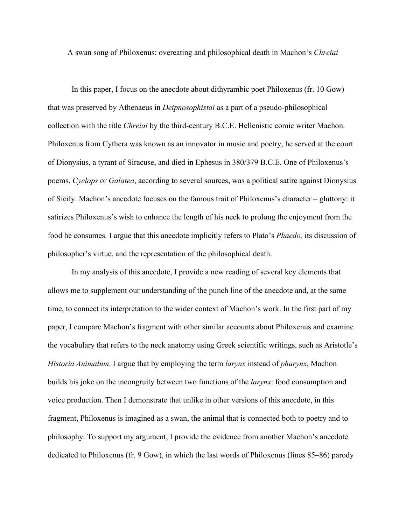A swan song of Philoxenus: overeating and philosophical death in Machon's *Chreiai*

In this paper, I focus on the anecdote about dithyrambic poet Philoxenus (fr. 10 Gow) that was preserved by Athenaeus in *Deipnosophistai* as a part of a pseudo-philosophical collection with the title *Chreiai* by the third-century B.C.E. Hellenistic comic writer Machon. Philoxenus from Cythera was known as an innovator in music and poetry, he served at the court of Dionysius, a tyrant of Siracuse, and died in Ephesus in 380/379 B.C.E. One of Philoxenus's poems, *Cyclops* or *Galatea*, according to several sources, was a political satire against Dionysius of Sicily. Machon's anecdote focuses on the famous trait of Philoxenus's character – gluttony: it satirizes Philoxenus's wish to enhance the length of his neck to prolong the enjoyment from the food he consumes. I argue that this anecdote implicitly refers to Plato's *Phaedo,* its discussion of philosopher's virtue, and the representation of the philosophical death.

In my analysis of this anecdote, I provide a new reading of several key elements that allows me to supplement our understanding of the punch line of the anecdote and, at the same time, to connect its interpretation to the wider context of Machon's work. In the first part of my paper, I compare Machon's fragment with other similar accounts about Philoxenus and examine the vocabulary that refers to the neck anatomy using Greek scientific writings, such as Aristotle's *Historia Animalum*. I argue that by employing the term *larynx* instead of *pharynx*, Machon builds his joke on the incongruity between two functions of the *larynx*: food consumption and voice production. Then I demonstrate that unlike in other versions of this anecdote, in this fragment, Philoxenus is imagined as a swan, the animal that is connected both to poetry and to philosophy. To support my argument, I provide the evidence from another Machon's anecdote dedicated to Philoxenus (fr. 9 Gow), in which the last words of Philoxenus (lines 85–86) parody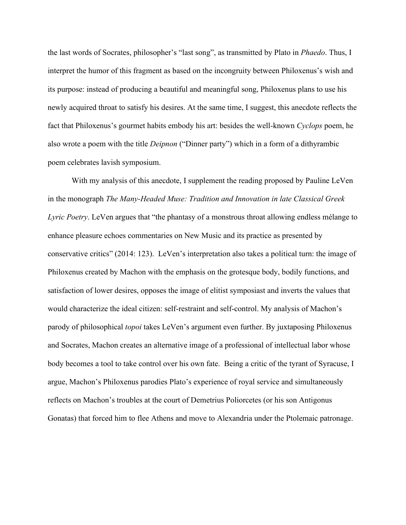the last words of Socrates, philosopher's "last song", as transmitted by Plato in *Phaedo*. Thus, I interpret the humor of this fragment as based on the incongruity between Philoxenus's wish and its purpose: instead of producing a beautiful and meaningful song, Philoxenus plans to use his newly acquired throat to satisfy his desires. At the same time, I suggest, this anecdote reflects the fact that Philoxenus's gourmet habits embody his art: besides the well-known *Cyclops* poem, he also wrote a poem with the title *Deipnon* ("Dinner party") which in a form of a dithyrambic poem celebrates lavish symposium.

With my analysis of this anecdote, I supplement the reading proposed by Pauline LeVen in the monograph *The Many-Headed Muse: Tradition and Innovation in late Classical Greek Lyric Poetry*. LeVen argues that "the phantasy of a monstrous throat allowing endless mélange to enhance pleasure echoes commentaries on New Music and its practice as presented by conservative critics" (2014: 123). LeVen's interpretation also takes a political turn: the image of Philoxenus created by Machon with the emphasis on the grotesque body, bodily functions, and satisfaction of lower desires, opposes the image of elitist symposiast and inverts the values that would characterize the ideal citizen: self-restraint and self-control. My analysis of Machon's parody of philosophical *topoi* takes LeVen's argument even further. By juxtaposing Philoxenus and Socrates, Machon creates an alternative image of a professional of intellectual labor whose body becomes a tool to take control over his own fate. Being a critic of the tyrant of Syracuse, I argue, Machon's Philoxenus parodies Plato's experience of royal service and simultaneously reflects on Machon's troubles at the court of Demetrius Poliorcetes (or his son Antigonus Gonatas) that forced him to flee Athens and move to Alexandria under the Ptolemaic patronage.